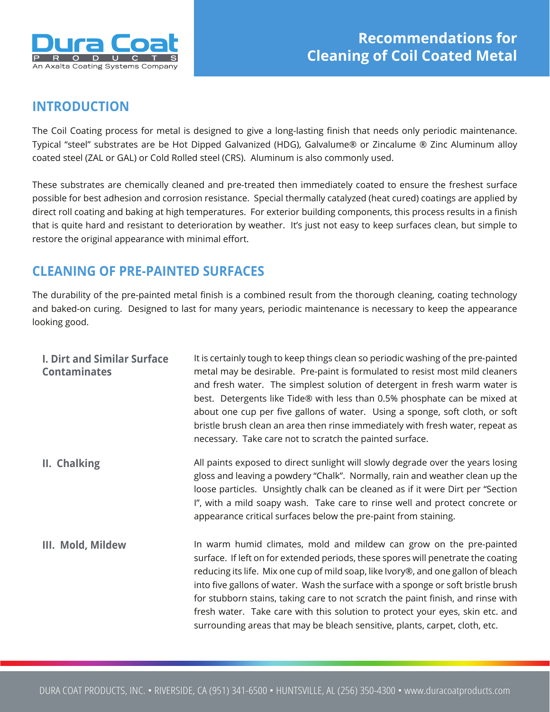

## **INTRODUCTION**

The Coil Coating process for metal is designed to give a long-lasting finish that needs only periodic maintenance. Typical "steel" substrates are be Hot Dipped Galvanized (HDG), Galvalume® or Zincalume ® Zinc Aluminum alloy coated steel (ZAL or GAL) or Cold Rolled steel (CRS). Aluminum is also commonly used.

These substrates are chemically cleaned and pre-treated then immediately coated to ensure the freshest surface possible for best adhesion and corrosion resistance. Special thermally catalyzed (heat cured) coatings are applied by direct roll coating and baking at high temperatures. For exterior building components, this process results in a finish that is quite hard and resistant to deterioration by weather. It's just not easy to keep surfaces clean, but simple to restore the original appearance with minimal effort.

## **CLEANING OF PRE-PAINTED SURFACES**

The durability of the pre-painted metal finish is a combined result from the thorough cleaning, coating technology and baked-on curing. Designed to last for many years, periodic maintenance is necessary to keep the appearance looking good.

| <b>I. Dirt and Similar Surface</b><br><b>Contaminates</b> | It is certainly tough to keep things clean so periodic washing of the pre-painted<br>metal may be desirable. Pre-paint is formulated to resist most mild cleaners<br>and fresh water. The simplest solution of detergent in fresh warm water is<br>best. Detergents like Tide® with less than 0.5% phosphate can be mixed at<br>about one cup per five gallons of water. Using a sponge, soft cloth, or soft<br>bristle brush clean an area then rinse immediately with fresh water, repeat as<br>necessary. Take care not to scratch the painted surface.                             |
|-----------------------------------------------------------|----------------------------------------------------------------------------------------------------------------------------------------------------------------------------------------------------------------------------------------------------------------------------------------------------------------------------------------------------------------------------------------------------------------------------------------------------------------------------------------------------------------------------------------------------------------------------------------|
| II. Chalking                                              | All paints exposed to direct sunlight will slowly degrade over the years losing<br>gloss and leaving a powdery "Chalk". Normally, rain and weather clean up the<br>loose particles. Unsightly chalk can be cleaned as if it were Dirt per "Section<br>I", with a mild soapy wash. Take care to rinse well and protect concrete or<br>appearance critical surfaces below the pre-paint from staining.                                                                                                                                                                                   |
| III. Mold, Mildew                                         | In warm humid climates, mold and mildew can grow on the pre-painted<br>surface. If left on for extended periods, these spores will penetrate the coating<br>reducing its life. Mix one cup of mild soap, like Ivory®, and one gallon of bleach<br>into five gallons of water. Wash the surface with a sponge or soft bristle brush<br>for stubborn stains, taking care to not scratch the paint finish, and rinse with<br>fresh water. Take care with this solution to protect your eyes, skin etc. and<br>surrounding areas that may be bleach sensitive, plants, carpet, cloth, etc. |